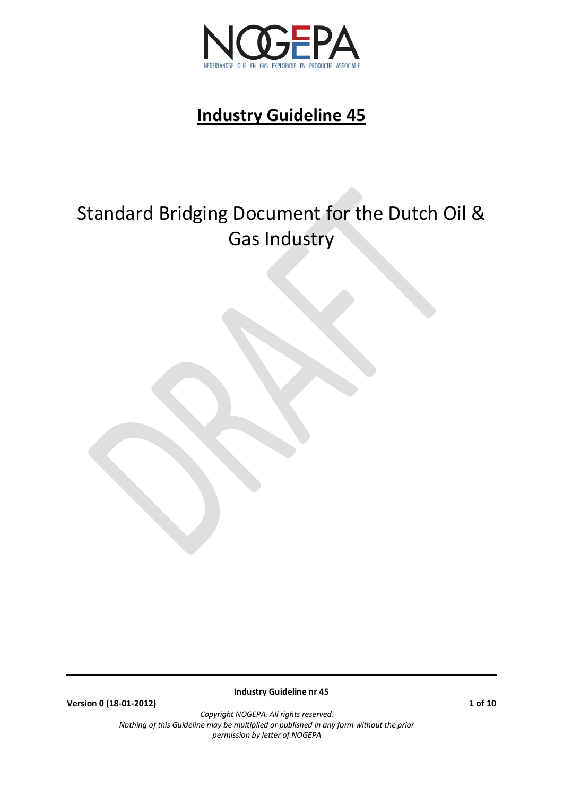

# Standard Bridging Document for the Dutch Oil & Gas Industry

**Version 0 (18-01-2012) 1 of 10**

**Industry Guideline nr 45**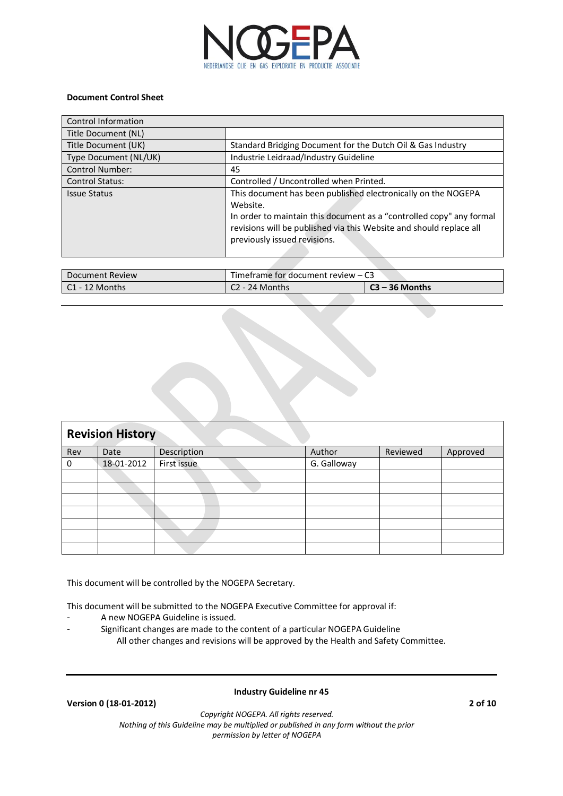

### **Document Control Sheet**

| Control Information    |                                                                                                                                                                                                                                                          |
|------------------------|----------------------------------------------------------------------------------------------------------------------------------------------------------------------------------------------------------------------------------------------------------|
| Title Document (NL)    |                                                                                                                                                                                                                                                          |
| Title Document (UK)    | Standard Bridging Document for the Dutch Oil & Gas Industry                                                                                                                                                                                              |
| Type Document (NL/UK)  | Industrie Leidraad/Industry Guideline                                                                                                                                                                                                                    |
| <b>Control Number:</b> | 45                                                                                                                                                                                                                                                       |
| <b>Control Status:</b> | Controlled / Uncontrolled when Printed.                                                                                                                                                                                                                  |
| <b>Issue Status</b>    | This document has been published electronically on the NOGEPA<br>Website.<br>In order to maintain this document as a "controlled copy" any formal<br>revisions will be published via this Website and should replace all<br>previously issued revisions. |

| Document Review | Timeframe for document review $-$ C3 |           |
|-----------------|--------------------------------------|-----------|
| Months          | Months<br>24                         | 36 Months |
|                 |                                      |           |

| <b>Revision History</b> |            |             |             |          |          |
|-------------------------|------------|-------------|-------------|----------|----------|
| Rev                     | Date       | Description | Author      | Reviewed | Approved |
| 0                       | 18-01-2012 | First issue | G. Galloway |          |          |
|                         |            |             |             |          |          |
|                         |            |             |             |          |          |
|                         |            |             |             |          |          |
|                         |            |             |             |          |          |
|                         |            |             |             |          |          |
|                         |            |             |             |          |          |
|                         |            |             |             |          |          |

This document will be controlled by the NOGEPA Secretary.

This document will be submitted to the NOGEPA Executive Committee for approval if:

- A new NOGEPA Guideline is issued.
- Significant changes are made to the content of a particular NOGEPA Guideline All other changes and revisions will be approved by the Health and Safety Committee.

**Version 0 (18-01-2012) 2 of 10**

### **Industry Guideline nr 45**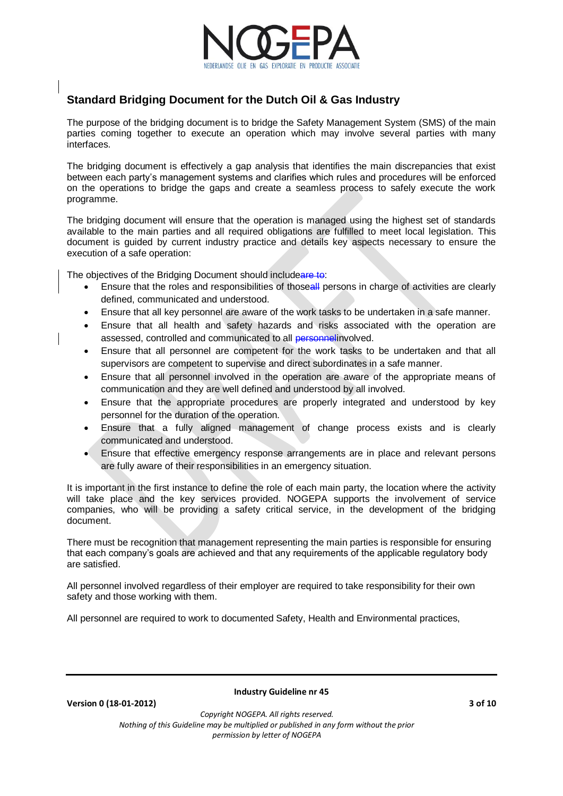

# **Standard Bridging Document for the Dutch Oil & Gas Industry**

The purpose of the bridging document is to bridge the Safety Management System (SMS) of the main parties coming together to execute an operation which may involve several parties with many interfaces.

The bridging document is effectively a gap analysis that identifies the main discrepancies that exist between each party's management systems and clarifies which rules and procedures will be enforced on the operations to bridge the gaps and create a seamless process to safely execute the work programme.

The bridging document will ensure that the operation is managed using the highest set of standards available to the main parties and all required obligations are fulfilled to meet local legislation. This document is guided by current industry practice and details key aspects necessary to ensure the execution of a safe operation:

The objectives of the Bridging Document should includeare to:

- Ensure that the roles and responsibilities of thoseall persons in charge of activities are clearly defined, communicated and understood.
- Ensure that all key personnel are aware of the work tasks to be undertaken in a safe manner.
- Ensure that all health and safety hazards and risks associated with the operation are assessed, controlled and communicated to all personnelinvolved.
- Ensure that all personnel are competent for the work tasks to be undertaken and that all supervisors are competent to supervise and direct subordinates in a safe manner.
- Ensure that all personnel involved in the operation are aware of the appropriate means of communication and they are well defined and understood by all involved.
- Ensure that the appropriate procedures are properly integrated and understood by key personnel for the duration of the operation.
- Ensure that a fully aligned management of change process exists and is clearly communicated and understood.
- Ensure that effective emergency response arrangements are in place and relevant persons are fully aware of their responsibilities in an emergency situation.

It is important in the first instance to define the role of each main party, the location where the activity will take place and the key services provided. NOGEPA supports the involvement of service companies, who will be providing a safety critical service, in the development of the bridging document.

There must be recognition that management representing the main parties is responsible for ensuring that each company's goals are achieved and that any requirements of the applicable regulatory body are satisfied.

All personnel involved regardless of their employer are required to take responsibility for their own safety and those working with them.

All personnel are required to work to documented Safety, Health and Environmental practices,

**Version 0 (18-01-2012) 3 of 10**

**Industry Guideline nr 45**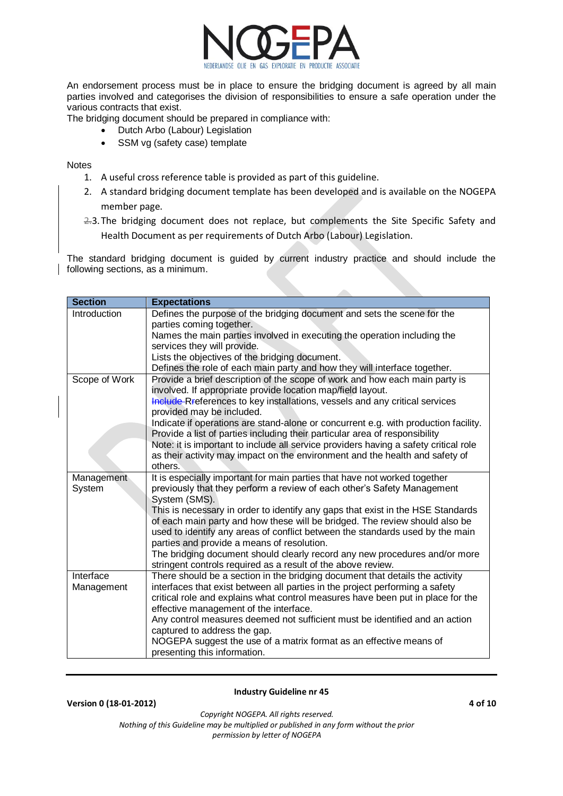

An endorsement process must be in place to ensure the bridging document is agreed by all main parties involved and categorises the division of responsibilities to ensure a safe operation under the various contracts that exist.

The bridging document should be prepared in compliance with:

- Dutch Arbo (Labour) Legislation
	- SSM vg (safety case) template

**Notes** 

- 1. A useful cross reference table is provided as part of this guideline.
- 2. A standard bridging document template has been developed and is available on the NOGEPA member page.
- 2.3. The bridging document does not replace, but complements the Site Specific Safety and Health Document as per requirements of Dutch Arbo (Labour) Legislation.

The standard bridging document is guided by current industry practice and should include the following sections, as a minimum.

| <b>Section</b> | <b>Expectations</b>                                                                  |
|----------------|--------------------------------------------------------------------------------------|
| Introduction   | Defines the purpose of the bridging document and sets the scene for the              |
|                | parties coming together.                                                             |
|                | Names the main parties involved in executing the operation including the             |
|                | services they will provide.                                                          |
|                | Lists the objectives of the bridging document.                                       |
|                | Defines the role of each main party and how they will interface together.            |
| Scope of Work  | Provide a brief description of the scope of work and how each main party is          |
|                | involved. If appropriate provide location map/field layout.                          |
|                | Include Rreferences to key installations, vessels and any critical services          |
|                | provided may be included.                                                            |
|                | Indicate if operations are stand-alone or concurrent e.g. with production facility.  |
|                | Provide a list of parties including their particular area of responsibility          |
|                | Note: it is important to include all service providers having a safety critical role |
|                | as their activity may impact on the environment and the health and safety of         |
|                | others.                                                                              |
| Management     | It is especially important for main parties that have not worked together            |
| System         | previously that they perform a review of each other's Safety Management              |
|                | System (SMS).                                                                        |
|                | This is necessary in order to identify any gaps that exist in the HSE Standards      |
|                | of each main party and how these will be bridged. The review should also be          |
|                | used to identify any areas of conflict between the standards used by the main        |
|                | parties and provide a means of resolution.                                           |
|                | The bridging document should clearly record any new procedures and/or more           |
|                | stringent controls required as a result of the above review.                         |
| Interface      | There should be a section in the bridging document that details the activity         |
| Management     | interfaces that exist between all parties in the project performing a safety         |
|                | critical role and explains what control measures have been put in place for the      |
|                | effective management of the interface.                                               |
|                | Any control measures deemed not sufficient must be identified and an action          |
|                | captured to address the gap.                                                         |
|                | NOGEPA suggest the use of a matrix format as an effective means of                   |
|                | presenting this information.                                                         |

**Industry Guideline nr 45**

**Version 0 (18-01-2012) 4 of 10**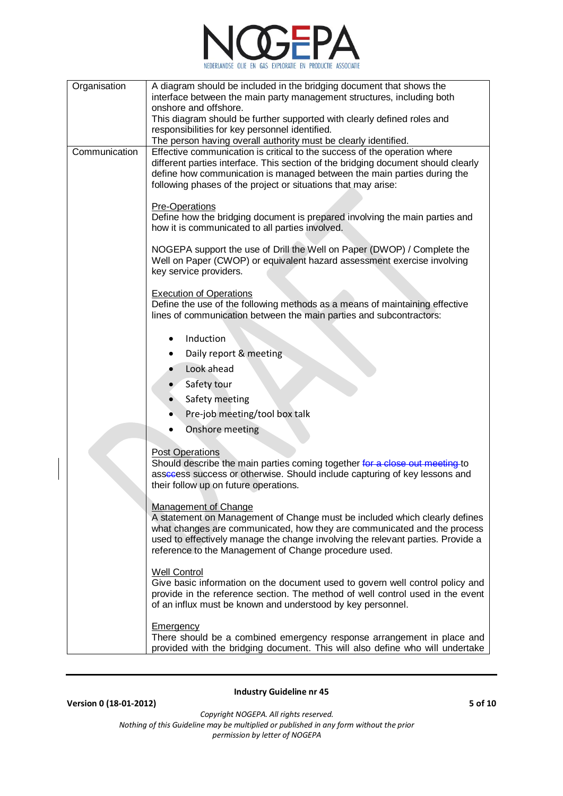

| Organisation  | A diagram should be included in the bridging document that shows the                                                                                            |
|---------------|-----------------------------------------------------------------------------------------------------------------------------------------------------------------|
|               | interface between the main party management structures, including both<br>onshore and offshore.                                                                 |
|               | This diagram should be further supported with clearly defined roles and                                                                                         |
|               | responsibilities for key personnel identified.                                                                                                                  |
|               | The person having overall authority must be clearly identified.                                                                                                 |
| Communication | Effective communication is critical to the success of the operation where                                                                                       |
|               | different parties interface. This section of the bridging document should clearly<br>define how communication is managed between the main parties during the    |
|               | following phases of the project or situations that may arise:                                                                                                   |
|               | <b>Pre-Operations</b>                                                                                                                                           |
|               | Define how the bridging document is prepared involving the main parties and                                                                                     |
|               | how it is communicated to all parties involved.                                                                                                                 |
|               | NOGEPA support the use of Drill the Well on Paper (DWOP) / Complete the                                                                                         |
|               | Well on Paper (CWOP) or equivalent hazard assessment exercise involving                                                                                         |
|               | key service providers.                                                                                                                                          |
|               | <b>Execution of Operations</b>                                                                                                                                  |
|               | Define the use of the following methods as a means of maintaining effective                                                                                     |
|               | lines of communication between the main parties and subcontractors:                                                                                             |
|               | Induction                                                                                                                                                       |
|               | Daily report & meeting                                                                                                                                          |
|               | Look ahead                                                                                                                                                      |
|               | Safety tour                                                                                                                                                     |
|               | Safety meeting                                                                                                                                                  |
|               | Pre-job meeting/tool box talk                                                                                                                                   |
|               | Onshore meeting                                                                                                                                                 |
|               |                                                                                                                                                                 |
|               | <b>Post Operations</b><br>Should describe the main parties coming together for a close out meeting to                                                           |
|               | assecess success or otherwise. Should include capturing of key lessons and                                                                                      |
|               | their follow up on future operations.                                                                                                                           |
|               | <b>Management of Change</b>                                                                                                                                     |
|               | A statement on Management of Change must be included which clearly defines                                                                                      |
|               | what changes are communicated, how they are communicated and the process                                                                                        |
|               | used to effectively manage the change involving the relevant parties. Provide a<br>reference to the Management of Change procedure used.                        |
|               |                                                                                                                                                                 |
|               | <b>Well Control</b>                                                                                                                                             |
|               | Give basic information on the document used to govern well control policy and<br>provide in the reference section. The method of well control used in the event |
|               | of an influx must be known and understood by key personnel.                                                                                                     |
|               | <b>Emergency</b>                                                                                                                                                |
|               | There should be a combined emergency response arrangement in place and                                                                                          |
|               | provided with the bridging document. This will also define who will undertake                                                                                   |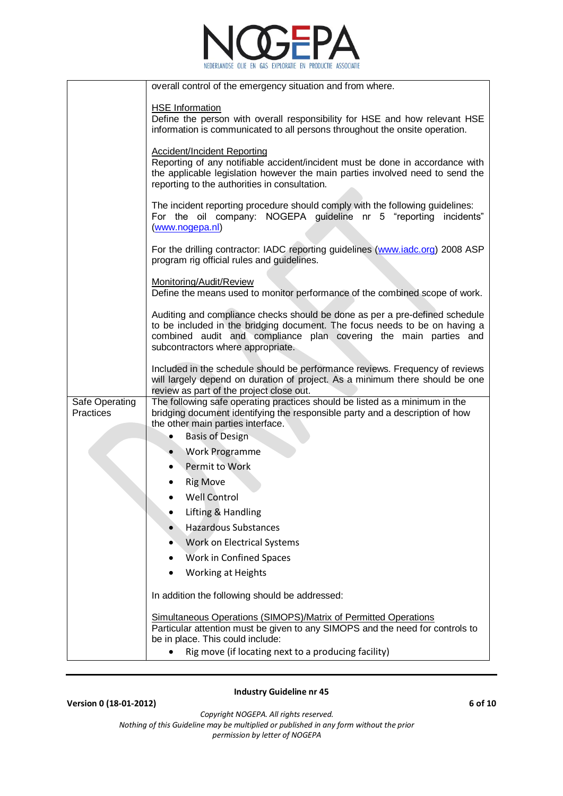

|                             | overall control of the emergency situation and from where.                                                                                                                                                                                                         |
|-----------------------------|--------------------------------------------------------------------------------------------------------------------------------------------------------------------------------------------------------------------------------------------------------------------|
| <b>HSE</b> Information      | Define the person with overall responsibility for HSE and how relevant HSE<br>information is communicated to all persons throughout the onsite operation.                                                                                                          |
|                             | <b>Accident/Incident Reporting</b><br>Reporting of any notifiable accident/incident must be done in accordance with<br>the applicable legislation however the main parties involved need to send the<br>reporting to the authorities in consultation.              |
| (www.nogepa.nl)             | The incident reporting procedure should comply with the following guidelines:<br>For the oil company: NOGEPA guideline nr 5 "reporting incidents"                                                                                                                  |
|                             | For the drilling contractor: IADC reporting guidelines (www.iadc.org) 2008 ASP<br>program rig official rules and guidelines.                                                                                                                                       |
| Monitoring/Audit/Review     | Define the means used to monitor performance of the combined scope of work.                                                                                                                                                                                        |
|                             | Auditing and compliance checks should be done as per a pre-defined schedule<br>to be included in the bridging document. The focus needs to be on having a<br>combined audit and compliance plan covering the main parties and<br>subcontractors where appropriate. |
|                             | Included in the schedule should be performance reviews. Frequency of reviews<br>will largely depend on duration of project. As a minimum there should be one<br>review as part of the project close out.                                                           |
| Safe Operating<br>Practices | The following safe operating practices should be listed as a minimum in the<br>bridging document identifying the responsible party and a description of how<br>the other main parties interface.                                                                   |
|                             | <b>Basis of Design</b>                                                                                                                                                                                                                                             |
|                             | <b>Work Programme</b>                                                                                                                                                                                                                                              |
|                             | Permit to Work                                                                                                                                                                                                                                                     |
| <b>Rig Move</b>             |                                                                                                                                                                                                                                                                    |
|                             | <b>Well Control</b>                                                                                                                                                                                                                                                |
|                             | Lifting & Handling<br><b>Hazardous Substances</b>                                                                                                                                                                                                                  |
|                             | <b>Work on Electrical Systems</b>                                                                                                                                                                                                                                  |
|                             | Work in Confined Spaces                                                                                                                                                                                                                                            |
|                             | <b>Working at Heights</b>                                                                                                                                                                                                                                          |
|                             |                                                                                                                                                                                                                                                                    |
|                             | In addition the following should be addressed:                                                                                                                                                                                                                     |
|                             | Simultaneous Operations (SIMOPS)/Matrix of Permitted Operations<br>Particular attention must be given to any SIMOPS and the need for controls to<br>be in place. This could include:                                                                               |
|                             | Rig move (if locating next to a producing facility)                                                                                                                                                                                                                |

## **Version 0 (18-01-2012) 6 of 10**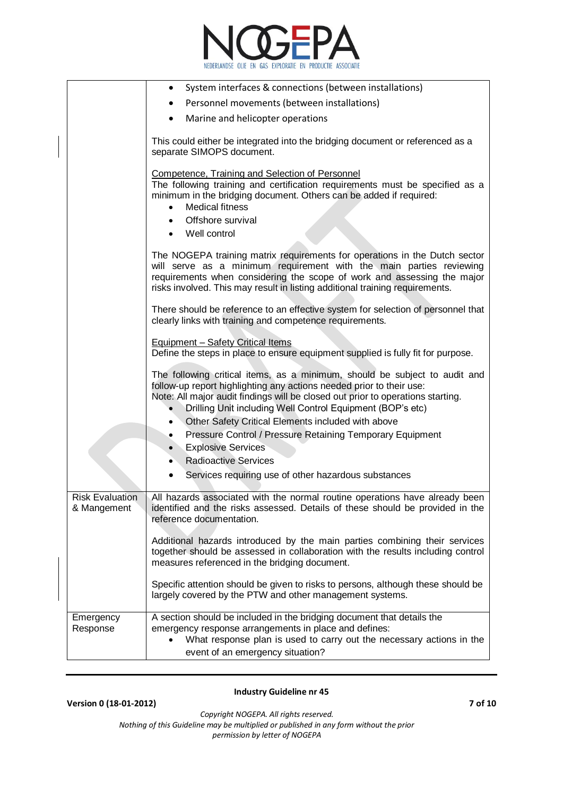

|                                       | System interfaces & connections (between installations)<br>$\bullet$                                                                                                                                                                                                                                         |
|---------------------------------------|--------------------------------------------------------------------------------------------------------------------------------------------------------------------------------------------------------------------------------------------------------------------------------------------------------------|
|                                       | Personnel movements (between installations)<br>$\bullet$                                                                                                                                                                                                                                                     |
|                                       | Marine and helicopter operations<br>$\bullet$                                                                                                                                                                                                                                                                |
|                                       | This could either be integrated into the bridging document or referenced as a<br>separate SIMOPS document.                                                                                                                                                                                                   |
|                                       | Competence, Training and Selection of Personnel<br>The following training and certification requirements must be specified as a<br>minimum in the bridging document. Others can be added if required:<br><b>Medical fitness</b><br>Offshore survival<br>Well control                                         |
|                                       | The NOGEPA training matrix requirements for operations in the Dutch sector<br>will serve as a minimum requirement with the main parties reviewing<br>requirements when considering the scope of work and assessing the major<br>risks involved. This may result in listing additional training requirements. |
|                                       | There should be reference to an effective system for selection of personnel that<br>clearly links with training and competence requirements.                                                                                                                                                                 |
|                                       | <b>Equipment - Safety Critical Items</b><br>Define the steps in place to ensure equipment supplied is fully fit for purpose.                                                                                                                                                                                 |
|                                       | The following critical items, as a minimum, should be subject to audit and<br>follow-up report highlighting any actions needed prior to their use:<br>Note: All major audit findings will be closed out prior to operations starting.<br>Drilling Unit including Well Control Equipment (BOP's etc)          |
|                                       | Other Safety Critical Elements included with above<br>$\bullet$                                                                                                                                                                                                                                              |
|                                       | Pressure Control / Pressure Retaining Temporary Equipment<br>٠                                                                                                                                                                                                                                               |
|                                       | <b>Explosive Services</b><br>$\bullet$                                                                                                                                                                                                                                                                       |
|                                       | <b>Radioactive Services</b>                                                                                                                                                                                                                                                                                  |
|                                       | Services requiring use of other hazardous substances                                                                                                                                                                                                                                                         |
| <b>Risk Evaluation</b><br>& Mangement | All hazards associated with the normal routine operations have already been<br>identified and the risks assessed. Details of these should be provided in the<br>reference documentation.                                                                                                                     |
|                                       | Additional hazards introduced by the main parties combining their services<br>together should be assessed in collaboration with the results including control<br>measures referenced in the bridging document.                                                                                               |
|                                       | Specific attention should be given to risks to persons, although these should be<br>largely covered by the PTW and other management systems.                                                                                                                                                                 |
| Emergency<br>Response                 | A section should be included in the bridging document that details the<br>emergency response arrangements in place and defines:<br>What response plan is used to carry out the necessary actions in the<br>event of an emergency situation?                                                                  |

**Version 0 (18-01-2012) 7 of 10** *Copyright NOGEPA. All rights reserved.*

*Nothing of this Guideline may be multiplied or published in any form without the prior permission by letter of NOGEPA*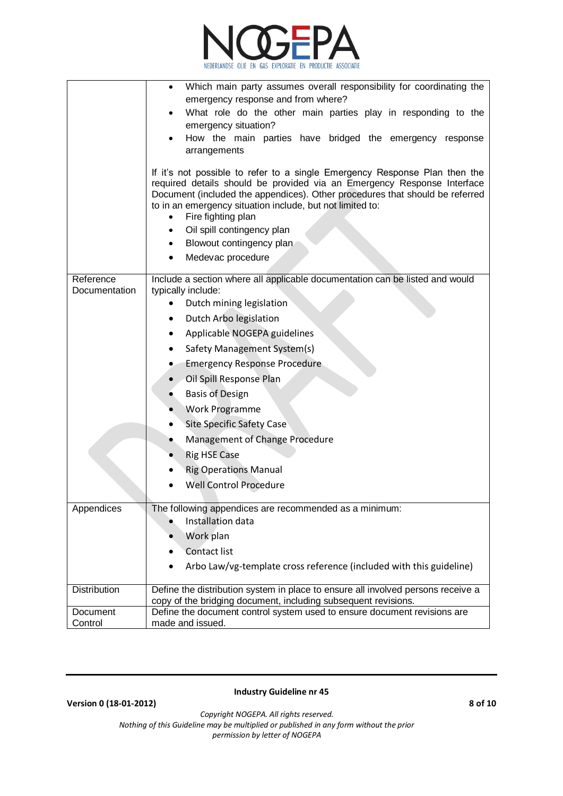

|                                     | Which main party assumes overall responsibility for coordinating the<br>$\bullet$<br>emergency response and from where?<br>What role do the other main parties play in responding to the<br>emergency situation?<br>How the main parties have bridged the emergency response<br>arrangements<br>If it's not possible to refer to a single Emergency Response Plan then the<br>required details should be provided via an Emergency Response Interface<br>Document (included the appendices). Other procedures that should be referred<br>to in an emergency situation include, but not limited to:<br>Fire fighting plan<br>$\bullet$<br>Oil spill contingency plan<br>Blowout contingency plan<br>Medevac procedure |
|-------------------------------------|----------------------------------------------------------------------------------------------------------------------------------------------------------------------------------------------------------------------------------------------------------------------------------------------------------------------------------------------------------------------------------------------------------------------------------------------------------------------------------------------------------------------------------------------------------------------------------------------------------------------------------------------------------------------------------------------------------------------|
| Reference<br>Documentation          | Include a section where all applicable documentation can be listed and would<br>typically include:<br>Dutch mining legislation<br>$\bullet$<br>Dutch Arbo legislation<br>٠<br>Applicable NOGEPA guidelines<br>Safety Management System(s)<br><b>Emergency Response Procedure</b><br>۰<br>Oil Spill Response Plan<br><b>Basis of Design</b><br>Work Programme<br><b>Site Specific Safety Case</b><br>Management of Change Procedure<br><b>Rig HSE Case</b><br><b>Rig Operations Manual</b><br><b>Well Control Procedure</b>                                                                                                                                                                                           |
| Appendices                          | The following appendices are recommended as a minimum:<br>Installation data<br>Work plan<br><b>Contact list</b><br>$\bullet$<br>Arbo Law/vg-template cross reference (included with this guideline)                                                                                                                                                                                                                                                                                                                                                                                                                                                                                                                  |
| Distribution<br>Document<br>Control | Define the distribution system in place to ensure all involved persons receive a<br>copy of the bridging document, including subsequent revisions.<br>Define the document control system used to ensure document revisions are<br>made and issued.                                                                                                                                                                                                                                                                                                                                                                                                                                                                   |

**Version 0 (18-01-2012) 8 of 10**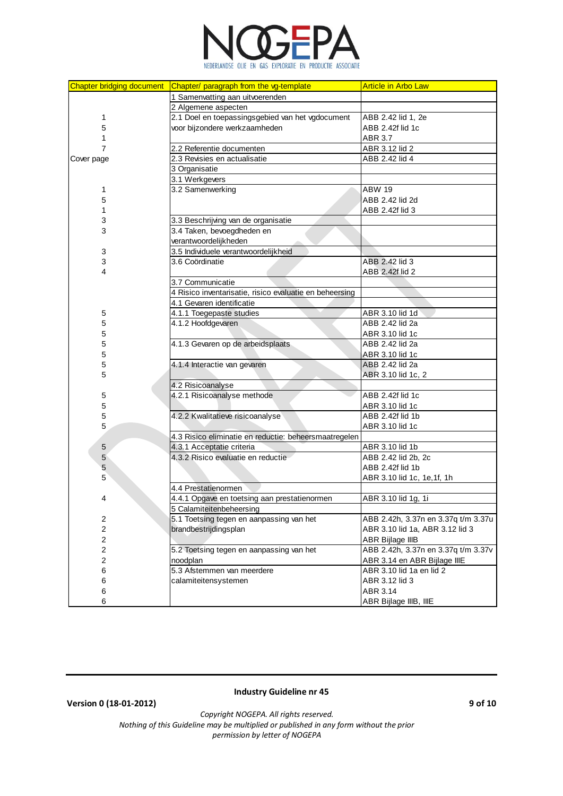

| <b>Chapter bridging document</b> | Chapter/ paragraph from the vg-template                 | <b>Article in Arbo Law</b>          |
|----------------------------------|---------------------------------------------------------|-------------------------------------|
|                                  | 1 Samenvatting aan uitvoerenden                         |                                     |
|                                  | 2 Algemene aspecten                                     |                                     |
| 1                                | 2.1 Doel en toepassingsgebied van het vgdocument        | ABB 2.42 lid 1, 2e                  |
| 5                                | voor bijzondere werkzaamheden                           | ABB 2.42f lid 1c                    |
| 1                                |                                                         | ABR 3.7                             |
| $\overline{7}$                   | 2.2 Referentie documenten                               | ABR 3.12 lid 2                      |
| Cover page                       | 2.3 Revisies en actualisatie                            | ABB 2.42 lid 4                      |
|                                  | 3 Organisatie                                           |                                     |
|                                  | 3.1 Werkgevers                                          |                                     |
| 1                                | 3.2 Samenwerking                                        | <b>ABW 19</b>                       |
| 5                                |                                                         | ABB 2.42 lid 2d                     |
| 1                                |                                                         | ABB 2.42f lid 3                     |
| 3                                | 3.3 Beschrijving van de organisatie                     |                                     |
| 3                                | 3.4 Taken, bevoegdheden en                              |                                     |
|                                  | verantwoordelijkheden                                   |                                     |
| 3                                | 3.5 Individuele verantwoordelijkheid                    |                                     |
| 3                                | 3.6 Coördinatie                                         | ABB 2.42 lid 3                      |
| 4                                |                                                         | ABB 2.42f lid 2                     |
|                                  | 3.7 Communicatie                                        |                                     |
|                                  | 4 Risico inventarisatie, risico evaluatie en beheersing |                                     |
|                                  | 4.1 Gevaren identificatie                               |                                     |
| 5                                | 4.1.1 Toegepaste studies                                | ABR 3.10 lid 1d                     |
| 5                                | 4.1.2 Hoofdgevaren                                      | ABB 2.42 lid 2a                     |
| 5                                |                                                         | ABR 3.10 lid 1c                     |
| 5                                | 4.1.3 Gevaren op de arbeidsplaats                       | ABB 2.42 lid 2a                     |
| 5                                |                                                         | ABR 3.10 lid 1c                     |
| 5                                | 4.1.4 Interactie van gevaren                            | ABB 2.42 lid 2a                     |
| 5                                |                                                         | ABR 3.10 lid 1c, 2                  |
|                                  | 4.2 Risicoanalyse                                       |                                     |
| 5                                | 4.2.1 Risicoanalyse methode                             | ABB 2.42f lid 1c                    |
| 5                                |                                                         | ABR 3.10 lid 1c                     |
| 5                                | 4.2.2 Kwalitatieve risicoanalyse                        | ABB 2.42f lid 1b                    |
| 5                                |                                                         | ABR 3.10 lid 1c                     |
|                                  | 4.3 Risico eliminatie en reductie: beheersmaatregelen   |                                     |
| $\sqrt{5}$                       | 4.3.1 Acceptatie criteria                               | ABR 3.10 lid 1b                     |
| $\sqrt{5}$                       | 4.3.2 Risico evaluatie en reductie                      | ABB 2.42 lid 2b, 2c                 |
| 5                                |                                                         | ABB 2.42f lid 1b                    |
| 5                                |                                                         | ABR 3.10 lid 1c, 1e, 1f, 1h         |
|                                  | 4.4 Prestatienormen                                     |                                     |
| 4                                | 4.4.1 Opgave en toetsing aan prestatienormen            | ABR 3.10 lid 1g, 1i                 |
|                                  | 5 Calamiteitenbeheersing                                |                                     |
| 2                                | 5.1 Toetsing tegen en aanpassing van het                | ABB 2.42h, 3.37n en 3.37q t/m 3.37u |
| $\overline{\mathbf{c}}$          | brandbestrijdingsplan                                   | ABR 3.10 lid 1a, ABR 3.12 lid 3     |
| 2                                |                                                         | ABR Bijlage IIIB                    |
| 2                                | 5.2 Toetsing tegen en aanpassing van het                | ABB 2.42h, 3.37n en 3.37q t/m 3.37v |
| 2                                | noodplan                                                | ABR 3.14 en ABR Bijlage IIIE        |
| 6                                | 5.3 Afstemmen van meerdere                              | ABR 3.10 lid 1a en lid 2            |
| 6                                | calamiteitensystemen                                    | ABR 3.12 lid 3                      |
| 6                                |                                                         | ABR 3.14                            |
| 6                                |                                                         | ABR Bijlage IIIB, IIIE              |

**Version 0 (18-01-2012) 9 of 10**